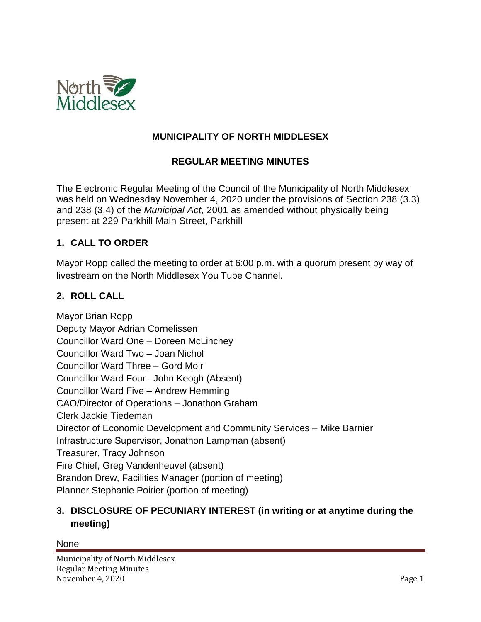

## **MUNICIPALITY OF NORTH MIDDLESEX**

### **REGULAR MEETING MINUTES**

The Electronic Regular Meeting of the Council of the Municipality of North Middlesex was held on Wednesday November 4, 2020 under the provisions of Section 238 (3.3) and 238 (3.4) of the *Municipal Act*, 2001 as amended without physically being present at 229 Parkhill Main Street, Parkhill

### **1. CALL TO ORDER**

Mayor Ropp called the meeting to order at 6:00 p.m. with a quorum present by way of livestream on the North Middlesex You Tube Channel.

## **2. ROLL CALL**

Mayor Brian Ropp Deputy Mayor Adrian Cornelissen Councillor Ward One – Doreen McLinchey Councillor Ward Two – Joan Nichol Councillor Ward Three – Gord Moir Councillor Ward Four –John Keogh (Absent) Councillor Ward Five – Andrew Hemming CAO/Director of Operations – Jonathon Graham Clerk Jackie Tiedeman Director of Economic Development and Community Services – Mike Barnier Infrastructure Supervisor, Jonathon Lampman (absent) Treasurer, Tracy Johnson Fire Chief, Greg Vandenheuvel (absent) Brandon Drew, Facilities Manager (portion of meeting) Planner Stephanie Poirier (portion of meeting)

## **3. DISCLOSURE OF PECUNIARY INTEREST (in writing or at anytime during the meeting)**

#### None

Municipality of North Middlesex Regular Meeting Minutes November 4, 2020 Page 1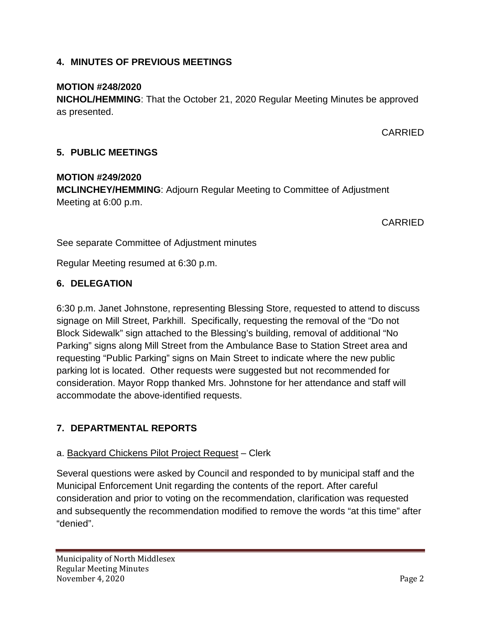# **4. MINUTES OF PREVIOUS MEETINGS**

# **MOTION #248/2020**

**NICHOL/HEMMING**: That the October 21, 2020 Regular Meeting Minutes be approved as presented.

CARRIED

# **5. PUBLIC MEETINGS**

### **MOTION #249/2020 MCLINCHEY/HEMMING**: Adjourn Regular Meeting to Committee of Adjustment Meeting at 6:00 p.m.

CARRIED

See separate Committee of Adjustment minutes

Regular Meeting resumed at 6:30 p.m.

# **6. DELEGATION**

6:30 p.m. Janet Johnstone, representing Blessing Store, requested to attend to discuss signage on Mill Street, Parkhill. Specifically, requesting the removal of the "Do not Block Sidewalk" sign attached to the Blessing's building, removal of additional "No Parking" signs along Mill Street from the Ambulance Base to Station Street area and requesting "Public Parking" signs on Main Street to indicate where the new public parking lot is located. Other requests were suggested but not recommended for consideration. Mayor Ropp thanked Mrs. Johnstone for her attendance and staff will accommodate the above-identified requests.

# **7. DEPARTMENTAL REPORTS**

# a. Backyard Chickens Pilot Project Request – Clerk

Several questions were asked by Council and responded to by municipal staff and the Municipal Enforcement Unit regarding the contents of the report. After careful consideration and prior to voting on the recommendation, clarification was requested and subsequently the recommendation modified to remove the words "at this time" after "denied".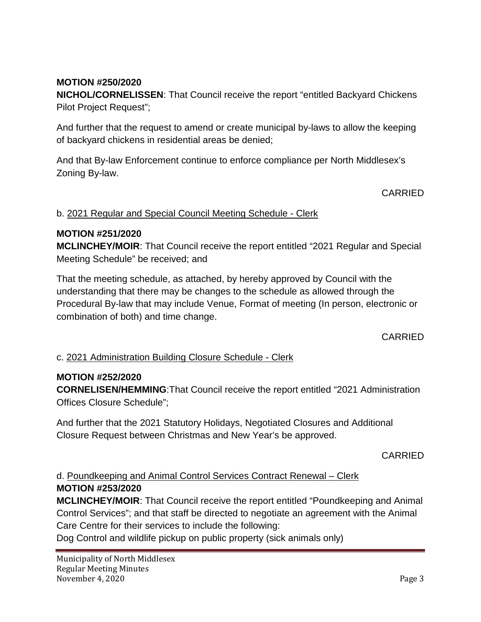## **MOTION #250/2020**

**NICHOL/CORNELISSEN**: That Council receive the report "entitled Backyard Chickens Pilot Project Request";

And further that the request to amend or create municipal by-laws to allow the keeping of backyard chickens in residential areas be denied;

And that By-law Enforcement continue to enforce compliance per North Middlesex's Zoning By-law.

#### CARRIED

#### b. 2021 Regular and Special Council Meeting Schedule - Clerk

#### **MOTION #251/2020**

**MCLINCHEY/MOIR**: That Council receive the report entitled "2021 Regular and Special Meeting Schedule" be received; and

That the meeting schedule, as attached, by hereby approved by Council with the understanding that there may be changes to the schedule as allowed through the Procedural By-law that may include Venue, Format of meeting (In person, electronic or combination of both) and time change.

CARRIED

### c. 2021 Administration Building Closure Schedule - Clerk

#### **MOTION #252/2020**

**CORNELISEN/HEMMING**:That Council receive the report entitled "2021 Administration Offices Closure Schedule";

And further that the 2021 Statutory Holidays, Negotiated Closures and Additional Closure Request between Christmas and New Year's be approved.

CARRIED

d. Poundkeeping and Animal Control Services Contract Renewal – Clerk **MOTION #253/2020**

**MCLINCHEY/MOIR**: That Council receive the report entitled "Poundkeeping and Animal Control Services"; and that staff be directed to negotiate an agreement with the Animal Care Centre for their services to include the following:

Dog Control and wildlife pickup on public property (sick animals only)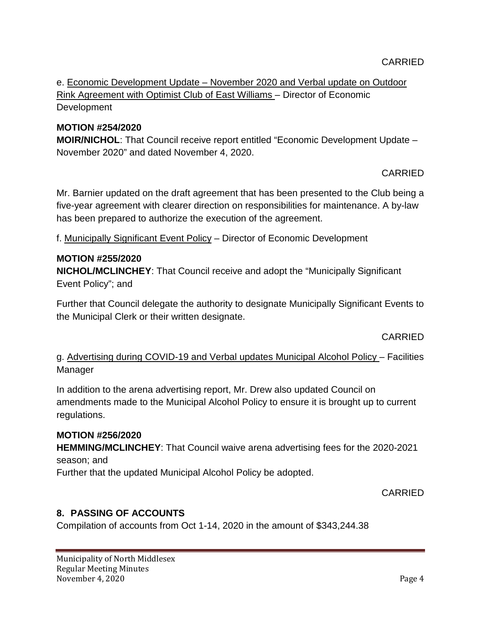e. Economic Development Update – November 2020 and Verbal update on Outdoor Rink Agreement with Optimist Club of East Williams – Director of Economic Development

# **MOTION #254/2020**

**MOIR/NICHOL**: That Council receive report entitled "Economic Development Update – November 2020" and dated November 4, 2020.

# CARRIED

Mr. Barnier updated on the draft agreement that has been presented to the Club being a five-year agreement with clearer direction on responsibilities for maintenance. A by-law has been prepared to authorize the execution of the agreement.

f. Municipally Significant Event Policy – Director of Economic Development

## **MOTION #255/2020**

**NICHOL/MCLINCHEY**: That Council receive and adopt the "Municipally Significant Event Policy"; and

Further that Council delegate the authority to designate Municipally Significant Events to the Municipal Clerk or their written designate.

CARRIED

g. Advertising during COVID-19 and Verbal updates Municipal Alcohol Policy – Facilities Manager

In addition to the arena advertising report, Mr. Drew also updated Council on amendments made to the Municipal Alcohol Policy to ensure it is brought up to current regulations.

### **MOTION #256/2020**

**HEMMING/MCLINCHEY**: That Council waive arena advertising fees for the 2020-2021 season; and

Further that the updated Municipal Alcohol Policy be adopted.

### CARRIED

# **8. PASSING OF ACCOUNTS**

Compilation of accounts from Oct 1-14, 2020 in the amount of \$343,244.38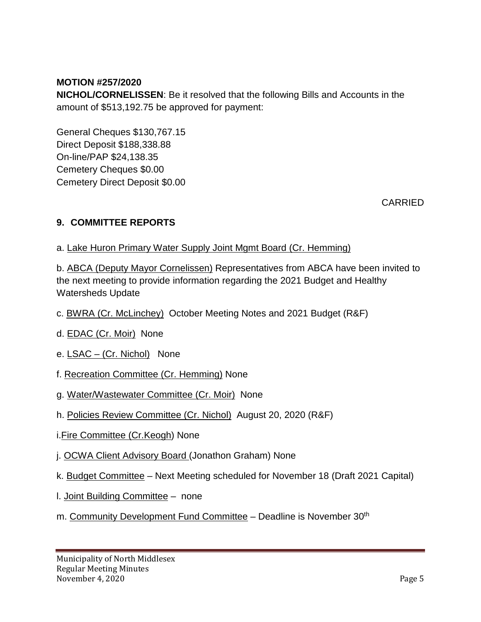### **MOTION #257/2020**

**NICHOL/CORNELISSEN**: Be it resolved that the following Bills and Accounts in the amount of \$513,192.75 be approved for payment:

General Cheques \$130,767.15 Direct Deposit \$188,338.88 On-line/PAP \$24,138.35 Cemetery Cheques \$0.00 Cemetery Direct Deposit \$0.00

**CARRIED** 

# **9. COMMITTEE REPORTS**

a. Lake Huron Primary Water Supply Joint Mgmt Board (Cr. Hemming)

b. ABCA (Deputy Mayor Cornelissen) Representatives from ABCA have been invited to the next meeting to provide information regarding the 2021 Budget and Healthy Watersheds Update

- c. BWRA (Cr. McLinchey) October Meeting Notes and 2021 Budget (R&F)
- d. EDAC (Cr. Moir) None
- e. LSAC (Cr. Nichol) None
- f. Recreation Committee (Cr. Hemming) None
- g. Water/Wastewater Committee (Cr. Moir) None
- h. Policies Review Committee (Cr. Nichol) August 20, 2020 (R&F)
- i.Fire Committee (Cr.Keogh) None
- j. OCWA Client Advisory Board (Jonathon Graham) None
- k. Budget Committee Next Meeting scheduled for November 18 (Draft 2021 Capital)
- l. Joint Building Committee none
- m. Community Development Fund Committee Deadline is November 30<sup>th</sup>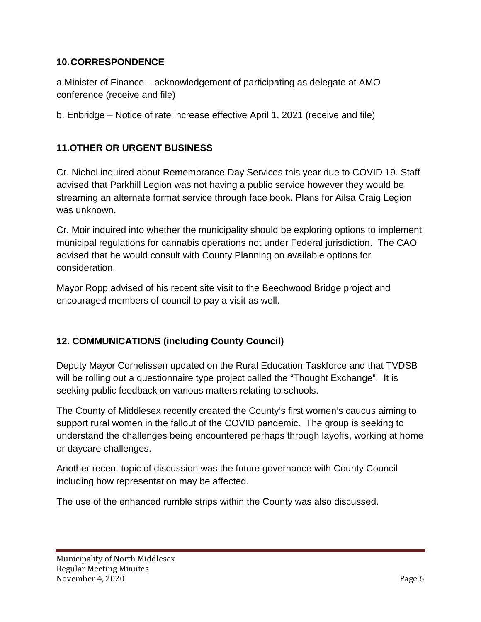## **10.CORRESPONDENCE**

a.Minister of Finance – acknowledgement of participating as delegate at AMO conference (receive and file)

b. Enbridge – Notice of rate increase effective April 1, 2021 (receive and file)

# **11.OTHER OR URGENT BUSINESS**

Cr. Nichol inquired about Remembrance Day Services this year due to COVID 19. Staff advised that Parkhill Legion was not having a public service however they would be streaming an alternate format service through face book. Plans for Ailsa Craig Legion was unknown.

Cr. Moir inquired into whether the municipality should be exploring options to implement municipal regulations for cannabis operations not under Federal jurisdiction. The CAO advised that he would consult with County Planning on available options for consideration.

Mayor Ropp advised of his recent site visit to the Beechwood Bridge project and encouraged members of council to pay a visit as well.

# **12. COMMUNICATIONS (including County Council)**

Deputy Mayor Cornelissen updated on the Rural Education Taskforce and that TVDSB will be rolling out a questionnaire type project called the "Thought Exchange". It is seeking public feedback on various matters relating to schools.

The County of Middlesex recently created the County's first women's caucus aiming to support rural women in the fallout of the COVID pandemic. The group is seeking to understand the challenges being encountered perhaps through layoffs, working at home or daycare challenges.

Another recent topic of discussion was the future governance with County Council including how representation may be affected.

The use of the enhanced rumble strips within the County was also discussed.